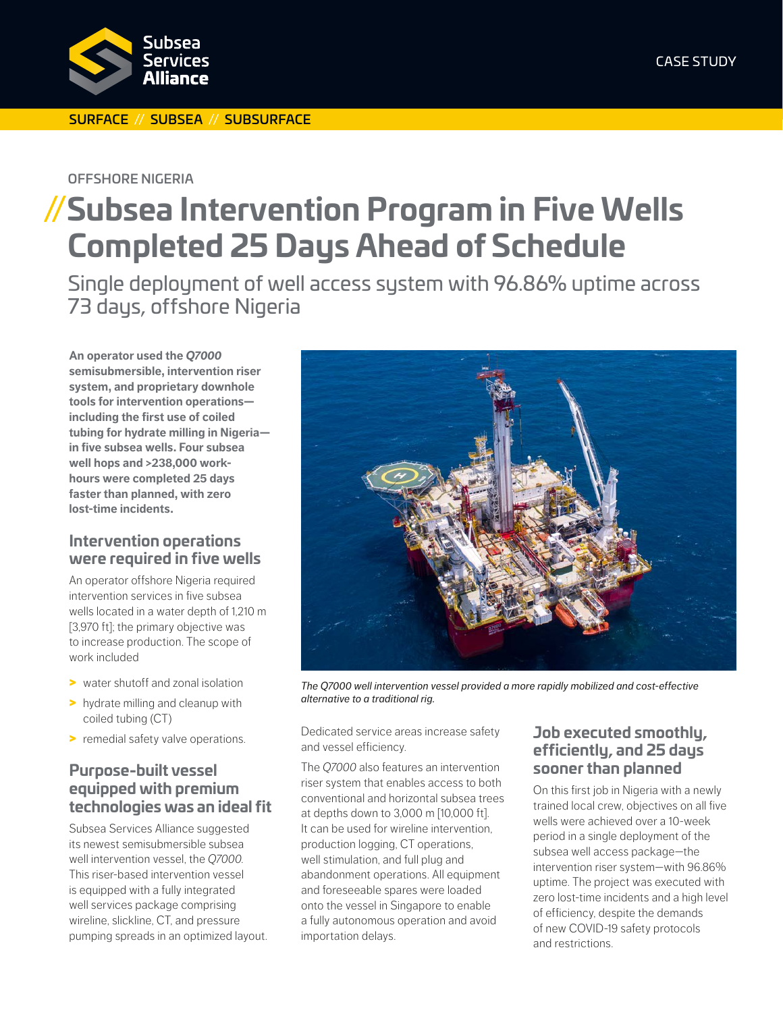

#### SURFACE // SUBSEA // SUBSURFACE

OFFSHORE NIGERIA

## **//Subsea Intervention Program in Five Wells Completed 25 Days Ahead of Schedule**

Single deployment of well access system with 96.86% uptime across 73 days, offshore Nigeria

**An operator used the** *Q7000* **semisubmersible, intervention riser system, and proprietary downhole tools for intervention operations including the first use of coiled tubing for hydrate milling in Nigeria in five subsea wells. Four subsea well hops and >238,000 workhours were completed 25 days faster than planned, with zero lost-time incidents.**

#### **Intervention operations were required in five wells**

An operator offshore Nigeria required intervention services in five subsea wells located in a water depth of 1,210 m [3,970 ft]; the primary objective was to increase production. The scope of work included

- > water shutoff and zonal isolation
- > hydrate milling and cleanup with coiled tubing (CT)
- > remedial safety valve operations.

### **Purpose-built vessel equipped with premium technologies was an ideal fit**

Subsea Services Alliance suggested its newest semisubmersible subsea well intervention vessel, the *Q7000*. This riser-based intervention vessel is equipped with a fully integrated well services package comprising wireline, slickline, CT, and pressure pumping spreads in an optimized layout.



*The Q7000 well intervention vessel provided a more rapidly mobilized and cost-effective alternative to a traditional rig.*

Dedicated service areas increase safety and vessel efficiency.

The *Q7000* also features an intervention riser system that enables access to both conventional and horizontal subsea trees at depths down to 3,000 m [10,000 ft]. It can be used for wireline intervention, production logging, CT operations, well stimulation, and full plug and abandonment operations. All equipment and foreseeable spares were loaded onto the vessel in Singapore to enable a fully autonomous operation and avoid importation delays.

#### **Job executed smoothly, efficiently, and 25 days sooner than planned**

On this first job in Nigeria with a newly trained local crew, objectives on all five wells were achieved over a 10-week period in a single deployment of the subsea well access package—the intervention riser system—with 96.86% uptime. The project was executed with zero lost-time incidents and a high level of efficiency, despite the demands of new COVID-19 safety protocols and restrictions.